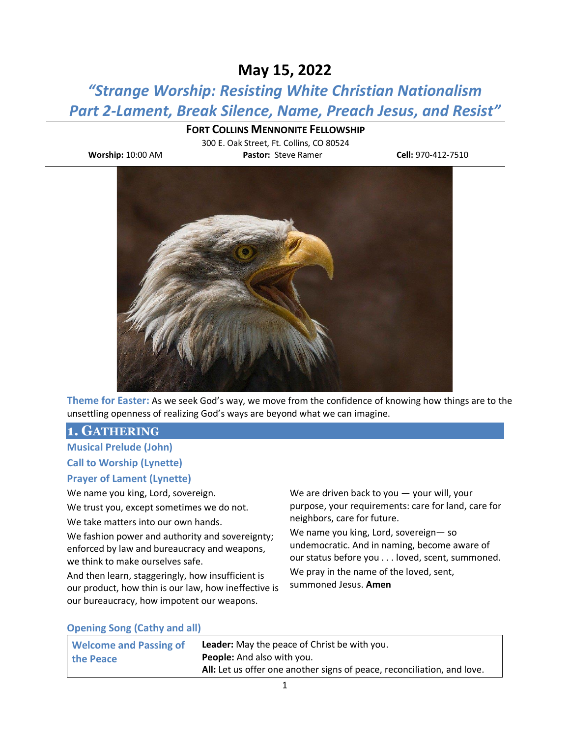# **May 15, 2022**

*"Strange Worship: Resisting White Christian Nationalism Part 2-Lament, Break Silence, Name, Preach Jesus, and Resist"*

## **FORT COLLINS MENNONITE FELLOWSHIP**

300 E. Oak Street, Ft. Collins, CO 80524 **Worship:** 10:00 AM **Pastor:** Steve Ramer **Cell:** 970-412-7510



**Theme for Easter:** As we seek God's way, we move from the confidence of knowing how things are to the unsettling openness of realizing God's ways are beyond what we can imagine.

## **1. GATHERING**

**Musical Prelude (John)**

# **Call to Worship (Lynette)**

### **Prayer of Lament (Lynette)**

We name you king, Lord, sovereign.

We trust you, except sometimes we do not.

We take matters into our own hands.

We fashion power and authority and sovereignty; enforced by law and bureaucracy and weapons, we think to make ourselves safe.

And then learn, staggeringly, how insufficient is our product, how thin is our law, how ineffective is our bureaucracy, how impotent our weapons.

We are driven back to you — your will, your purpose, your requirements: care for land, care for neighbors, care for future.

We name you king, Lord, sovereign— so undemocratic. And in naming, become aware of our status before you . . . loved, scent, summoned. We pray in the name of the loved, sent, summoned Jesus. **Amen**

### **Opening Song (Cathy and all)**

| <b>Welcome and Passing of</b> | <b>Leader:</b> May the peace of Christ be with you.                     |
|-------------------------------|-------------------------------------------------------------------------|
| the Peace                     | <b>People:</b> And also with you.                                       |
|                               | All: Let us offer one another signs of peace, reconciliation, and love. |